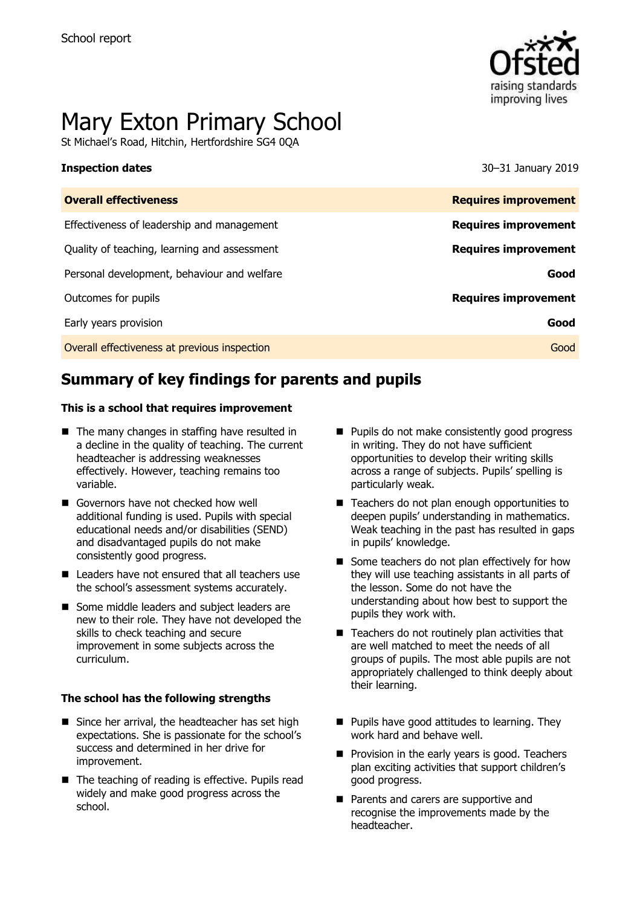

# Mary Exton Primary School

St Michael's Road, Hitchin, Hertfordshire SG4 0QA

**Inspection dates** 30–31 January 2019

| <b>Overall effectiveness</b>                 | <b>Requires improvement</b> |
|----------------------------------------------|-----------------------------|
| Effectiveness of leadership and management   | <b>Requires improvement</b> |
| Quality of teaching, learning and assessment | <b>Requires improvement</b> |
| Personal development, behaviour and welfare  | Good                        |
| Outcomes for pupils                          | <b>Requires improvement</b> |
| Early years provision                        | Good                        |
| Overall effectiveness at previous inspection | Good                        |
|                                              |                             |

# **Summary of key findings for parents and pupils**

#### **This is a school that requires improvement**

- $\blacksquare$  The many changes in staffing have resulted in a decline in the quality of teaching. The current headteacher is addressing weaknesses effectively. However, teaching remains too variable.
- Governors have not checked how well additional funding is used. Pupils with special educational needs and/or disabilities (SEND) and disadvantaged pupils do not make consistently good progress.
- Leaders have not ensured that all teachers use the school's assessment systems accurately.
- Some middle leaders and subject leaders are new to their role. They have not developed the skills to check teaching and secure improvement in some subjects across the curriculum.

#### **The school has the following strengths**

- Since her arrival, the headteacher has set high expectations. She is passionate for the school's success and determined in her drive for improvement.
- The teaching of reading is effective. Pupils read widely and make good progress across the school.
- Pupils do not make consistently good progress in writing. They do not have sufficient opportunities to develop their writing skills across a range of subjects. Pupils' spelling is particularly weak.
- Teachers do not plan enough opportunities to deepen pupils' understanding in mathematics. Weak teaching in the past has resulted in gaps in pupils' knowledge.
- Some teachers do not plan effectively for how they will use teaching assistants in all parts of the lesson. Some do not have the understanding about how best to support the pupils they work with.
- $\blacksquare$  Teachers do not routinely plan activities that are well matched to meet the needs of all groups of pupils. The most able pupils are not appropriately challenged to think deeply about their learning.
- $\blacksquare$  Pupils have good attitudes to learning. They work hard and behave well.
- **Provision in the early years is good. Teachers** plan exciting activities that support children's good progress.
- Parents and carers are supportive and recognise the improvements made by the headteacher.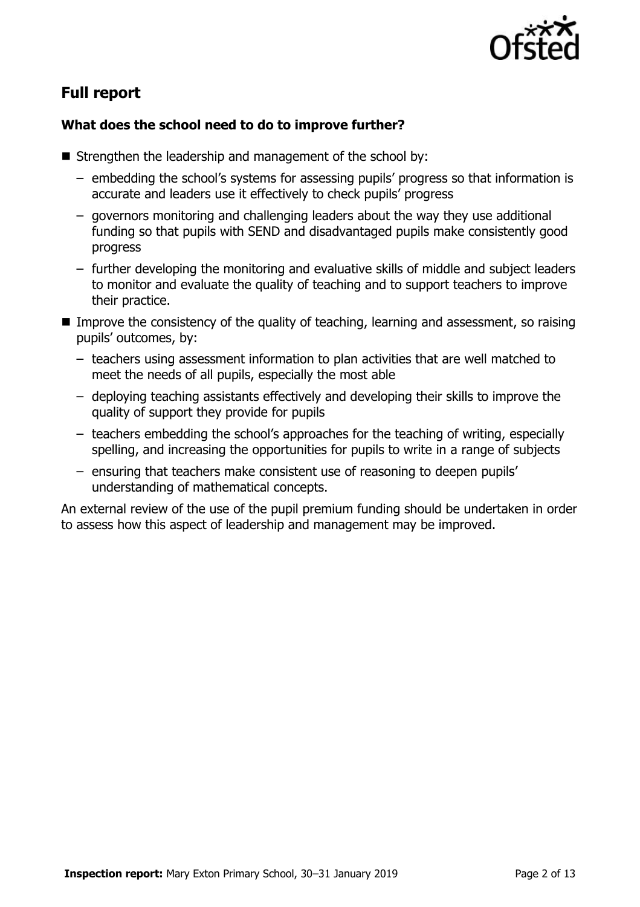

# **Full report**

### **What does the school need to do to improve further?**

- $\blacksquare$  Strengthen the leadership and management of the school by:
	- embedding the school's systems for assessing pupils' progress so that information is accurate and leaders use it effectively to check pupils' progress
	- governors monitoring and challenging leaders about the way they use additional funding so that pupils with SEND and disadvantaged pupils make consistently good progress
	- further developing the monitoring and evaluative skills of middle and subject leaders to monitor and evaluate the quality of teaching and to support teachers to improve their practice.
- $\blacksquare$  Improve the consistency of the quality of teaching, learning and assessment, so raising pupils' outcomes, by:
	- teachers using assessment information to plan activities that are well matched to meet the needs of all pupils, especially the most able
	- deploying teaching assistants effectively and developing their skills to improve the quality of support they provide for pupils
	- teachers embedding the school's approaches for the teaching of writing, especially spelling, and increasing the opportunities for pupils to write in a range of subjects
	- ensuring that teachers make consistent use of reasoning to deepen pupils' understanding of mathematical concepts.

An external review of the use of the pupil premium funding should be undertaken in order to assess how this aspect of leadership and management may be improved.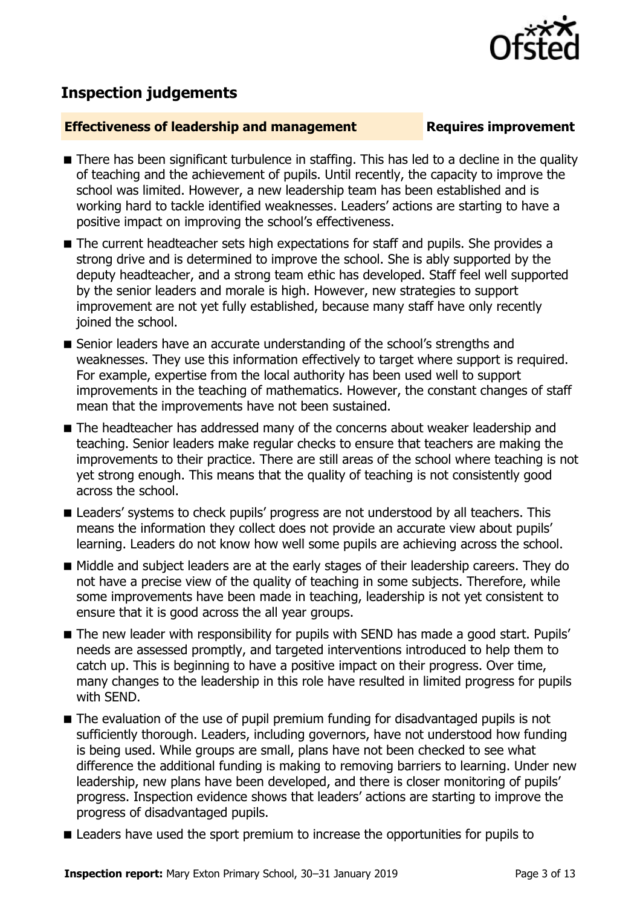

# **Inspection judgements**

#### **Effectiveness of leadership and management Requires improvement**

- There has been significant turbulence in staffing. This has led to a decline in the quality of teaching and the achievement of pupils. Until recently, the capacity to improve the school was limited. However, a new leadership team has been established and is working hard to tackle identified weaknesses. Leaders' actions are starting to have a positive impact on improving the school's effectiveness.
- The current headteacher sets high expectations for staff and pupils. She provides a strong drive and is determined to improve the school. She is ably supported by the deputy headteacher, and a strong team ethic has developed. Staff feel well supported by the senior leaders and morale is high. However, new strategies to support improvement are not yet fully established, because many staff have only recently joined the school.
- Senior leaders have an accurate understanding of the school's strengths and weaknesses. They use this information effectively to target where support is required. For example, expertise from the local authority has been used well to support improvements in the teaching of mathematics. However, the constant changes of staff mean that the improvements have not been sustained.
- The headteacher has addressed many of the concerns about weaker leadership and teaching. Senior leaders make regular checks to ensure that teachers are making the improvements to their practice. There are still areas of the school where teaching is not yet strong enough. This means that the quality of teaching is not consistently good across the school.
- **E** Leaders' systems to check pupils' progress are not understood by all teachers. This means the information they collect does not provide an accurate view about pupils' learning. Leaders do not know how well some pupils are achieving across the school.
- Middle and subject leaders are at the early stages of their leadership careers. They do not have a precise view of the quality of teaching in some subjects. Therefore, while some improvements have been made in teaching, leadership is not yet consistent to ensure that it is good across the all year groups.
- The new leader with responsibility for pupils with SEND has made a good start. Pupils' needs are assessed promptly, and targeted interventions introduced to help them to catch up. This is beginning to have a positive impact on their progress. Over time, many changes to the leadership in this role have resulted in limited progress for pupils with SEND.
- The evaluation of the use of pupil premium funding for disadvantaged pupils is not sufficiently thorough. Leaders, including governors, have not understood how funding is being used. While groups are small, plans have not been checked to see what difference the additional funding is making to removing barriers to learning. Under new leadership, new plans have been developed, and there is closer monitoring of pupils' progress. Inspection evidence shows that leaders' actions are starting to improve the progress of disadvantaged pupils.
- **E** Leaders have used the sport premium to increase the opportunities for pupils to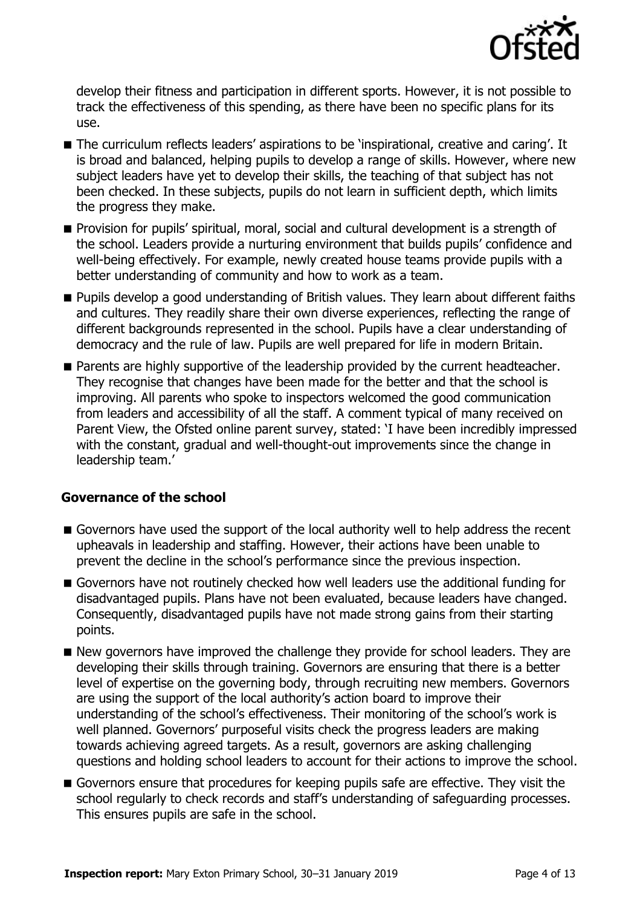

develop their fitness and participation in different sports. However, it is not possible to track the effectiveness of this spending, as there have been no specific plans for its use.

- The curriculum reflects leaders' aspirations to be 'inspirational, creative and caring'. It is broad and balanced, helping pupils to develop a range of skills. However, where new subject leaders have yet to develop their skills, the teaching of that subject has not been checked. In these subjects, pupils do not learn in sufficient depth, which limits the progress they make.
- **Provision for pupils' spiritual, moral, social and cultural development is a strength of** the school. Leaders provide a nurturing environment that builds pupils' confidence and well-being effectively. For example, newly created house teams provide pupils with a better understanding of community and how to work as a team.
- **Pupils develop a good understanding of British values. They learn about different faiths** and cultures. They readily share their own diverse experiences, reflecting the range of different backgrounds represented in the school. Pupils have a clear understanding of democracy and the rule of law. Pupils are well prepared for life in modern Britain.
- **Parents are highly supportive of the leadership provided by the current headteacher.** They recognise that changes have been made for the better and that the school is improving. All parents who spoke to inspectors welcomed the good communication from leaders and accessibility of all the staff. A comment typical of many received on Parent View, the Ofsted online parent survey, stated: 'I have been incredibly impressed with the constant, gradual and well-thought-out improvements since the change in leadership team.'

### **Governance of the school**

- Governors have used the support of the local authority well to help address the recent upheavals in leadership and staffing. However, their actions have been unable to prevent the decline in the school's performance since the previous inspection.
- Governors have not routinely checked how well leaders use the additional funding for disadvantaged pupils. Plans have not been evaluated, because leaders have changed. Consequently, disadvantaged pupils have not made strong gains from their starting points.
- New governors have improved the challenge they provide for school leaders. They are developing their skills through training. Governors are ensuring that there is a better level of expertise on the governing body, through recruiting new members. Governors are using the support of the local authority's action board to improve their understanding of the school's effectiveness. Their monitoring of the school's work is well planned. Governors' purposeful visits check the progress leaders are making towards achieving agreed targets. As a result, governors are asking challenging questions and holding school leaders to account for their actions to improve the school.
- Governors ensure that procedures for keeping pupils safe are effective. They visit the school regularly to check records and staff's understanding of safeguarding processes. This ensures pupils are safe in the school.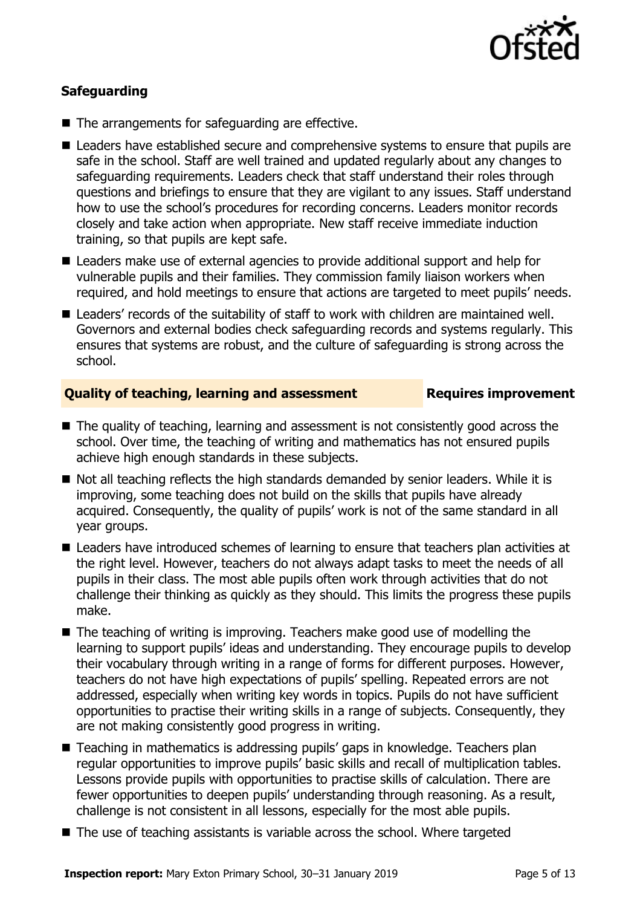

### **Safeguarding**

- The arrangements for safeguarding are effective.
- Leaders have established secure and comprehensive systems to ensure that pupils are safe in the school. Staff are well trained and updated regularly about any changes to safeguarding requirements. Leaders check that staff understand their roles through questions and briefings to ensure that they are vigilant to any issues. Staff understand how to use the school's procedures for recording concerns. Leaders monitor records closely and take action when appropriate. New staff receive immediate induction training, so that pupils are kept safe.
- Leaders make use of external agencies to provide additional support and help for vulnerable pupils and their families. They commission family liaison workers when required, and hold meetings to ensure that actions are targeted to meet pupils' needs.
- Leaders' records of the suitability of staff to work with children are maintained well. Governors and external bodies check safeguarding records and systems regularly. This ensures that systems are robust, and the culture of safeguarding is strong across the school.

#### **Quality of teaching, learning and assessment Figures improvement**

- The quality of teaching, learning and assessment is not consistently good across the school. Over time, the teaching of writing and mathematics has not ensured pupils achieve high enough standards in these subjects.
- Not all teaching reflects the high standards demanded by senior leaders. While it is improving, some teaching does not build on the skills that pupils have already acquired. Consequently, the quality of pupils' work is not of the same standard in all year groups.
- Leaders have introduced schemes of learning to ensure that teachers plan activities at the right level. However, teachers do not always adapt tasks to meet the needs of all pupils in their class. The most able pupils often work through activities that do not challenge their thinking as quickly as they should. This limits the progress these pupils make.
- The teaching of writing is improving. Teachers make good use of modelling the learning to support pupils' ideas and understanding. They encourage pupils to develop their vocabulary through writing in a range of forms for different purposes. However, teachers do not have high expectations of pupils' spelling. Repeated errors are not addressed, especially when writing key words in topics. Pupils do not have sufficient opportunities to practise their writing skills in a range of subjects. Consequently, they are not making consistently good progress in writing.
- Teaching in mathematics is addressing pupils' gaps in knowledge. Teachers plan regular opportunities to improve pupils' basic skills and recall of multiplication tables. Lessons provide pupils with opportunities to practise skills of calculation. There are fewer opportunities to deepen pupils' understanding through reasoning. As a result, challenge is not consistent in all lessons, especially for the most able pupils.
- The use of teaching assistants is variable across the school. Where targeted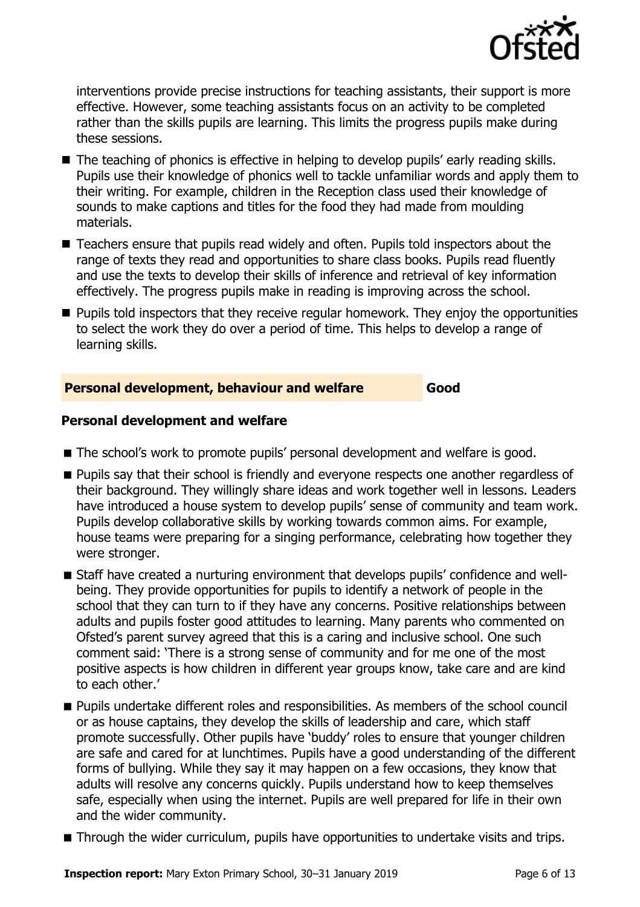

interventions provide precise instructions for teaching assistants, their support is more effective. However, some teaching assistants focus on an activity to be completed rather than the skills pupils are learning. This limits the progress pupils make during these sessions.

- The teaching of phonics is effective in helping to develop pupils' early reading skills. Pupils use their knowledge of phonics well to tackle unfamiliar words and apply them to their writing. For example, children in the Reception class used their knowledge of sounds to make captions and titles for the food they had made from moulding materials.
- Teachers ensure that pupils read widely and often. Pupils told inspectors about the range of texts they read and opportunities to share class books. Pupils read fluently and use the texts to develop their skills of inference and retrieval of key information effectively. The progress pupils make in reading is improving across the school.
- **Pupils told inspectors that they receive regular homework. They enjoy the opportunities** to select the work they do over a period of time. This helps to develop a range of learning skills.

#### **Personal development, behaviour and welfare Good**

#### **Personal development and welfare**

- The school's work to promote pupils' personal development and welfare is good.
- **Pupils say that their school is friendly and everyone respects one another regardless of** their background. They willingly share ideas and work together well in lessons. Leaders have introduced a house system to develop pupils' sense of community and team work. Pupils develop collaborative skills by working towards common aims. For example, house teams were preparing for a singing performance, celebrating how together they were stronger.
- Staff have created a nurturing environment that develops pupils' confidence and wellbeing. They provide opportunities for pupils to identify a network of people in the school that they can turn to if they have any concerns. Positive relationships between adults and pupils foster good attitudes to learning. Many parents who commented on Ofsted's parent survey agreed that this is a caring and inclusive school. One such comment said: 'There is a strong sense of community and for me one of the most positive aspects is how children in different year groups know, take care and are kind to each other.'
- **Pupils undertake different roles and responsibilities. As members of the school council** or as house captains, they develop the skills of leadership and care, which staff promote successfully. Other pupils have 'buddy' roles to ensure that younger children are safe and cared for at lunchtimes. Pupils have a good understanding of the different forms of bullying. While they say it may happen on a few occasions, they know that adults will resolve any concerns quickly. Pupils understand how to keep themselves safe, especially when using the internet. Pupils are well prepared for life in their own and the wider community.
- Through the wider curriculum, pupils have opportunities to undertake visits and trips.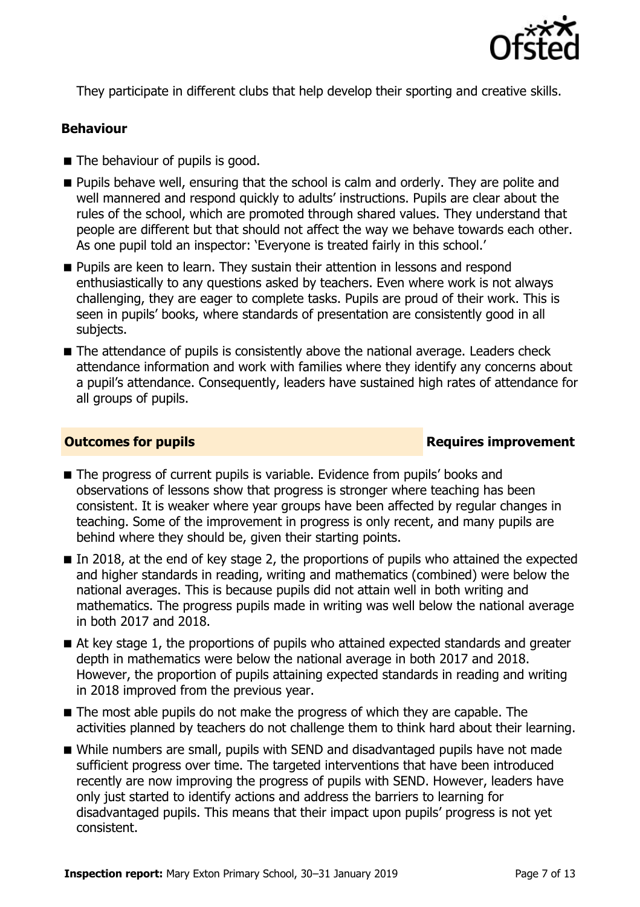

They participate in different clubs that help develop their sporting and creative skills.

#### **Behaviour**

- The behaviour of pupils is good.
- **Pupils behave well, ensuring that the school is calm and orderly. They are polite and** well mannered and respond quickly to adults' instructions. Pupils are clear about the rules of the school, which are promoted through shared values. They understand that people are different but that should not affect the way we behave towards each other. As one pupil told an inspector: 'Everyone is treated fairly in this school.'
- **Pupils are keen to learn. They sustain their attention in lessons and respond** enthusiastically to any questions asked by teachers. Even where work is not always challenging, they are eager to complete tasks. Pupils are proud of their work. This is seen in pupils' books, where standards of presentation are consistently good in all subjects.
- The attendance of pupils is consistently above the national average. Leaders check attendance information and work with families where they identify any concerns about a pupil's attendance. Consequently, leaders have sustained high rates of attendance for all groups of pupils.

#### **Outcomes for pupils Requires improvement**

- The progress of current pupils is variable. Evidence from pupils' books and observations of lessons show that progress is stronger where teaching has been consistent. It is weaker where year groups have been affected by regular changes in teaching. Some of the improvement in progress is only recent, and many pupils are behind where they should be, given their starting points.
- In 2018, at the end of key stage 2, the proportions of pupils who attained the expected and higher standards in reading, writing and mathematics (combined) were below the national averages. This is because pupils did not attain well in both writing and mathematics. The progress pupils made in writing was well below the national average in both 2017 and 2018.
- At key stage 1, the proportions of pupils who attained expected standards and greater depth in mathematics were below the national average in both 2017 and 2018. However, the proportion of pupils attaining expected standards in reading and writing in 2018 improved from the previous year.
- The most able pupils do not make the progress of which they are capable. The activities planned by teachers do not challenge them to think hard about their learning.
- While numbers are small, pupils with SEND and disadvantaged pupils have not made sufficient progress over time. The targeted interventions that have been introduced recently are now improving the progress of pupils with SEND. However, leaders have only just started to identify actions and address the barriers to learning for disadvantaged pupils. This means that their impact upon pupils' progress is not yet consistent.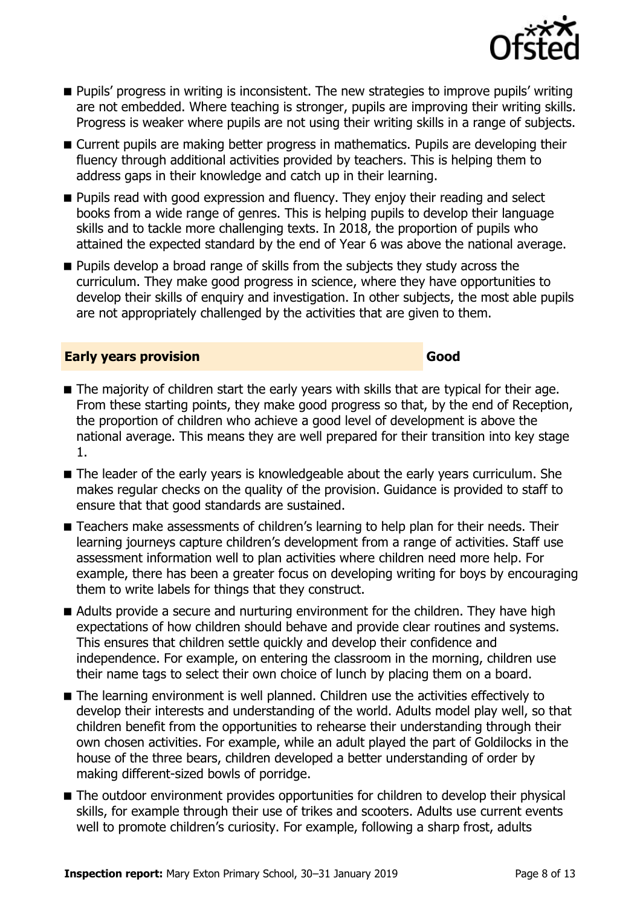

- **Pupils' progress in writing is inconsistent. The new strategies to improve pupils' writing** are not embedded. Where teaching is stronger, pupils are improving their writing skills. Progress is weaker where pupils are not using their writing skills in a range of subjects.
- Current pupils are making better progress in mathematics. Pupils are developing their fluency through additional activities provided by teachers. This is helping them to address gaps in their knowledge and catch up in their learning.
- **Pupils read with good expression and fluency. They enjoy their reading and select** books from a wide range of genres. This is helping pupils to develop their language skills and to tackle more challenging texts. In 2018, the proportion of pupils who attained the expected standard by the end of Year 6 was above the national average.
- **Pupils develop a broad range of skills from the subjects they study across the** curriculum. They make good progress in science, where they have opportunities to develop their skills of enquiry and investigation. In other subjects, the most able pupils are not appropriately challenged by the activities that are given to them.

#### **Early years provision Good Good**

- The majority of children start the early years with skills that are typical for their age. From these starting points, they make good progress so that, by the end of Reception, the proportion of children who achieve a good level of development is above the national average. This means they are well prepared for their transition into key stage 1.
- The leader of the early years is knowledgeable about the early years curriculum. She makes regular checks on the quality of the provision. Guidance is provided to staff to ensure that that good standards are sustained.
- Teachers make assessments of children's learning to help plan for their needs. Their learning journeys capture children's development from a range of activities. Staff use assessment information well to plan activities where children need more help. For example, there has been a greater focus on developing writing for boys by encouraging them to write labels for things that they construct.
- Adults provide a secure and nurturing environment for the children. They have high expectations of how children should behave and provide clear routines and systems. This ensures that children settle quickly and develop their confidence and independence. For example, on entering the classroom in the morning, children use their name tags to select their own choice of lunch by placing them on a board.
- The learning environment is well planned. Children use the activities effectively to develop their interests and understanding of the world. Adults model play well, so that children benefit from the opportunities to rehearse their understanding through their own chosen activities. For example, while an adult played the part of Goldilocks in the house of the three bears, children developed a better understanding of order by making different-sized bowls of porridge.
- The outdoor environment provides opportunities for children to develop their physical skills, for example through their use of trikes and scooters. Adults use current events well to promote children's curiosity. For example, following a sharp frost, adults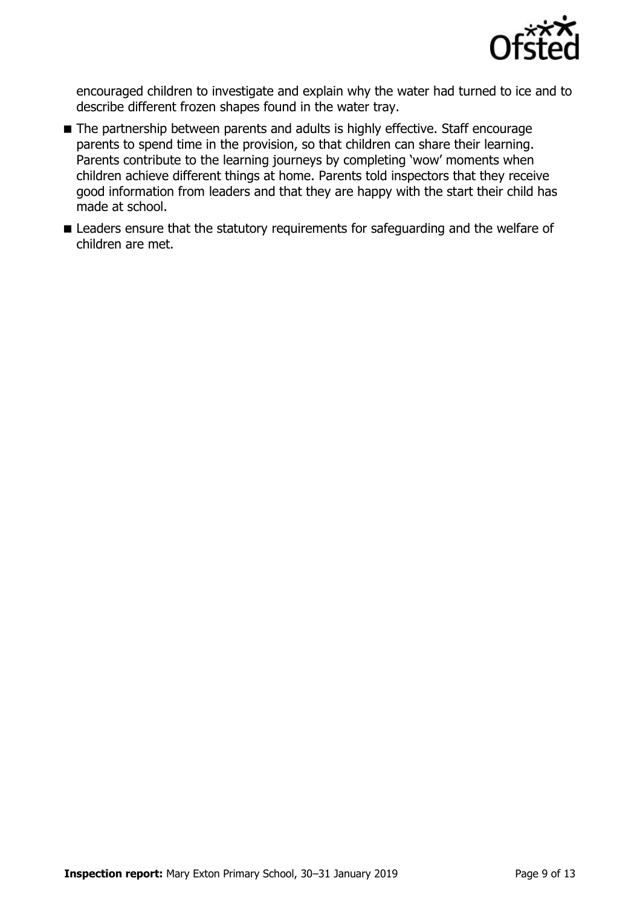

encouraged children to investigate and explain why the water had turned to ice and to describe different frozen shapes found in the water tray.

- The partnership between parents and adults is highly effective. Staff encourage parents to spend time in the provision, so that children can share their learning. Parents contribute to the learning journeys by completing 'wow' moments when children achieve different things at home. Parents told inspectors that they receive good information from leaders and that they are happy with the start their child has made at school.
- **E** Leaders ensure that the statutory requirements for safeguarding and the welfare of children are met.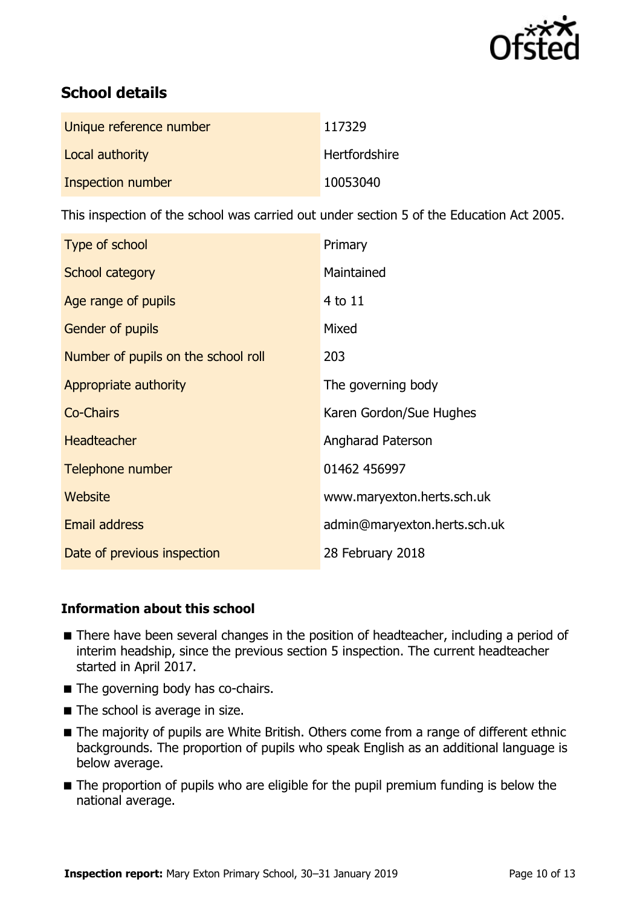

# **School details**

| Unique reference number | 117329        |
|-------------------------|---------------|
| Local authority         | Hertfordshire |
| Inspection number       | 10053040      |

This inspection of the school was carried out under section 5 of the Education Act 2005.

| Type of school                      | Primary                      |
|-------------------------------------|------------------------------|
| School category                     | Maintained                   |
| Age range of pupils                 | 4 to 11                      |
| <b>Gender of pupils</b>             | Mixed                        |
| Number of pupils on the school roll | 203                          |
| Appropriate authority               | The governing body           |
| <b>Co-Chairs</b>                    | Karen Gordon/Sue Hughes      |
| <b>Headteacher</b>                  | Angharad Paterson            |
| Telephone number                    | 01462 456997                 |
| Website                             | www.maryexton.herts.sch.uk   |
| <b>Email address</b>                | admin@maryexton.herts.sch.uk |
| Date of previous inspection         | 28 February 2018             |

### **Information about this school**

- There have been several changes in the position of headteacher, including a period of interim headship, since the previous section 5 inspection. The current headteacher started in April 2017.
- The governing body has co-chairs.
- The school is average in size.
- The majority of pupils are White British. Others come from a range of different ethnic backgrounds. The proportion of pupils who speak English as an additional language is below average.
- The proportion of pupils who are eligible for the pupil premium funding is below the national average.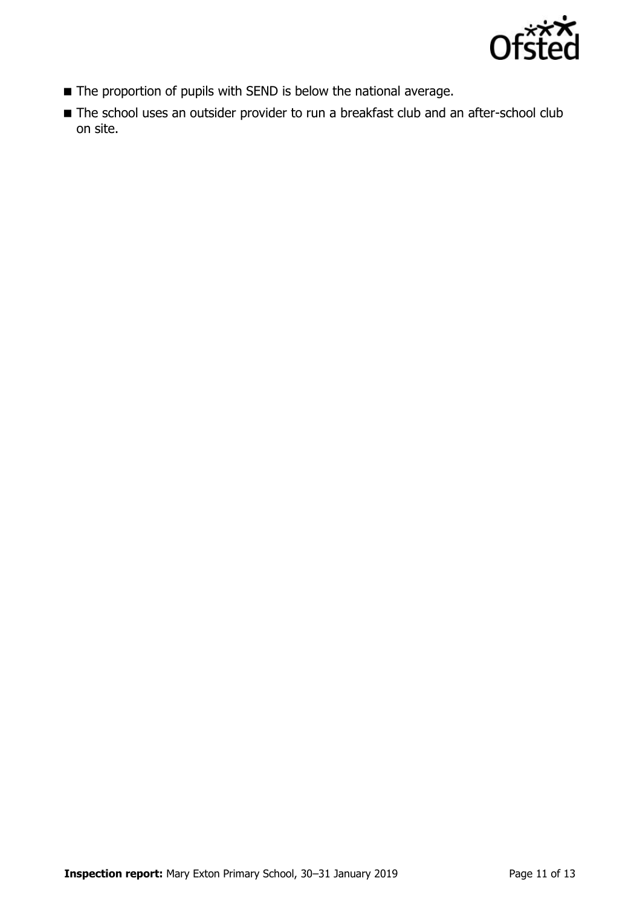

- The proportion of pupils with SEND is below the national average.
- The school uses an outsider provider to run a breakfast club and an after-school club on site.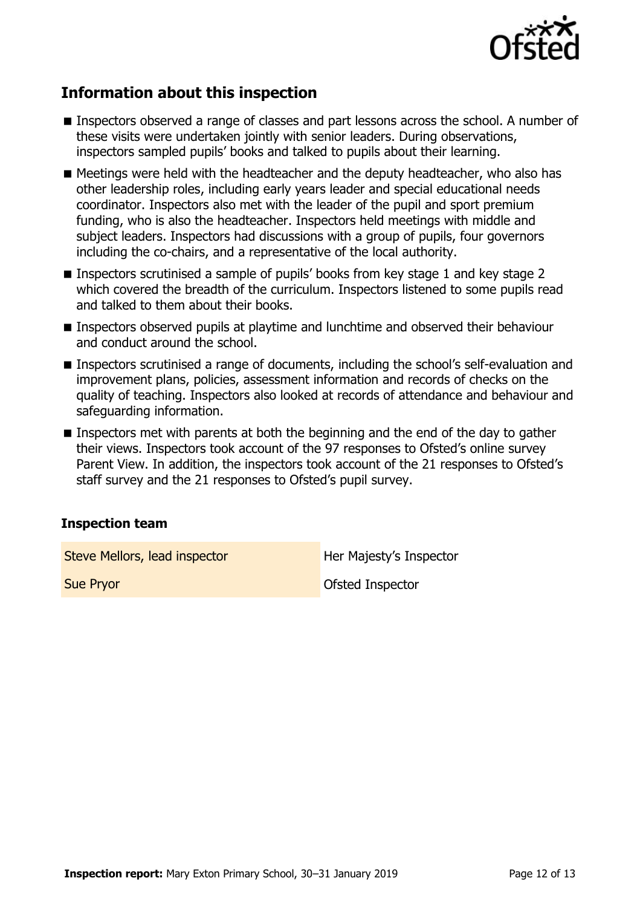

## **Information about this inspection**

- **Inspectors observed a range of classes and part lessons across the school. A number of** these visits were undertaken jointly with senior leaders. During observations, inspectors sampled pupils' books and talked to pupils about their learning.
- Meetings were held with the headteacher and the deputy headteacher, who also has other leadership roles, including early years leader and special educational needs coordinator. Inspectors also met with the leader of the pupil and sport premium funding, who is also the headteacher. Inspectors held meetings with middle and subject leaders. Inspectors had discussions with a group of pupils, four governors including the co-chairs, and a representative of the local authority.
- Inspectors scrutinised a sample of pupils' books from key stage 1 and key stage 2 which covered the breadth of the curriculum. Inspectors listened to some pupils read and talked to them about their books.
- Inspectors observed pupils at playtime and lunchtime and observed their behaviour and conduct around the school.
- Inspectors scrutinised a range of documents, including the school's self-evaluation and improvement plans, policies, assessment information and records of checks on the quality of teaching. Inspectors also looked at records of attendance and behaviour and safeguarding information.
- Inspectors met with parents at both the beginning and the end of the day to gather their views. Inspectors took account of the 97 responses to Ofsted's online survey Parent View. In addition, the inspectors took account of the 21 responses to Ofsted's staff survey and the 21 responses to Ofsted's pupil survey.

### **Inspection team**

Steve Mellors, lead inspector **Her Majesty's Inspector** 

**Sue Pryor Contract Contract Contract Contract Contract Contract Contract Contract Contract Contract Contract Contract Contract Contract Contract Contract Contract Contract Contract Contract Contract Contract Contract Cont**